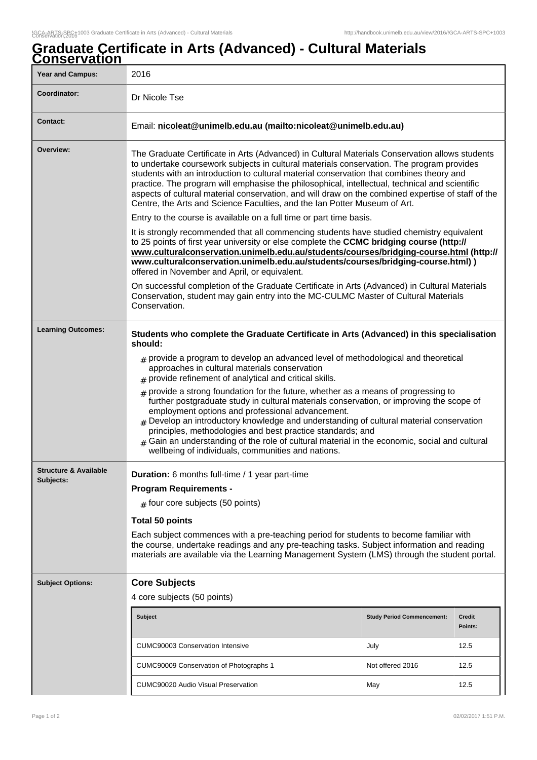## **Graduate Certificate in Arts (Advanced) - Cultural Materials Conservation**

| <u>JUNJUI VALIUNI</u><br><b>Year and Campus:</b> | 2016                                                                                                                                                                                                                                                                                                                                                                                                                                                                                                                                                                                                                          |                                   |                          |  |
|--------------------------------------------------|-------------------------------------------------------------------------------------------------------------------------------------------------------------------------------------------------------------------------------------------------------------------------------------------------------------------------------------------------------------------------------------------------------------------------------------------------------------------------------------------------------------------------------------------------------------------------------------------------------------------------------|-----------------------------------|--------------------------|--|
| Coordinator:                                     | Dr Nicole Tse                                                                                                                                                                                                                                                                                                                                                                                                                                                                                                                                                                                                                 |                                   |                          |  |
| <b>Contact:</b>                                  | Email: nicoleat@unimelb.edu.au (mailto:nicoleat@unimelb.edu.au)                                                                                                                                                                                                                                                                                                                                                                                                                                                                                                                                                               |                                   |                          |  |
| Overview:                                        | The Graduate Certificate in Arts (Advanced) in Cultural Materials Conservation allows students<br>to undertake coursework subjects in cultural materials conservation. The program provides<br>students with an introduction to cultural material conservation that combines theory and<br>practice. The program will emphasise the philosophical, intellectual, technical and scientific<br>aspects of cultural material conservation, and will draw on the combined expertise of staff of the<br>Centre, the Arts and Science Faculties, and the Ian Potter Museum of Art.                                                  |                                   |                          |  |
|                                                  | Entry to the course is available on a full time or part time basis.                                                                                                                                                                                                                                                                                                                                                                                                                                                                                                                                                           |                                   |                          |  |
|                                                  | It is strongly recommended that all commencing students have studied chemistry equivalent<br>to 25 points of first year university or else complete the CCMC bridging course (http://<br>www.culturalconservation.unimelb.edu.au/students/courses/bridging-course.html (http://<br>www.culturalconservation.unimelb.edu.au/students/courses/bridging-course.html) )<br>offered in November and April, or equivalent.<br>On successful completion of the Graduate Certificate in Arts (Advanced) in Cultural Materials<br>Conservation, student may gain entry into the MC-CULMC Master of Cultural Materials<br>Conservation. |                                   |                          |  |
|                                                  |                                                                                                                                                                                                                                                                                                                                                                                                                                                                                                                                                                                                                               |                                   |                          |  |
| <b>Learning Outcomes:</b>                        | Students who complete the Graduate Certificate in Arts (Advanced) in this specialisation<br>should:                                                                                                                                                                                                                                                                                                                                                                                                                                                                                                                           |                                   |                          |  |
|                                                  | $_{\#}$ provide a program to develop an advanced level of methodological and theoretical<br>approaches in cultural materials conservation<br>$#$ provide refinement of analytical and critical skills.                                                                                                                                                                                                                                                                                                                                                                                                                        |                                   |                          |  |
|                                                  | $*$ provide a strong foundation for the future, whether as a means of progressing to<br>further postgraduate study in cultural materials conservation, or improving the scope of<br>employment options and professional advancement.<br>$_{\rm \#}$ Develop an introductory knowledge and understanding of cultural material conservation<br>principles, methodologies and best practice standards; and<br>Gain an understanding of the role of cultural material in the economic, social and cultural<br>wellbeing of individuals, communities and nations.                                                                  |                                   |                          |  |
| <b>Structure &amp; Available</b>                 | Duration: 6 months full-time / 1 year part-time                                                                                                                                                                                                                                                                                                                                                                                                                                                                                                                                                                               |                                   |                          |  |
| Subjects:                                        | <b>Program Requirements -</b><br>$#$ four core subjects (50 points)<br><b>Total 50 points</b><br>Each subject commences with a pre-teaching period for students to become familiar with<br>the course, undertake readings and any pre-teaching tasks. Subject information and reading<br>materials are available via the Learning Management System (LMS) through the student portal.                                                                                                                                                                                                                                         |                                   |                          |  |
|                                                  |                                                                                                                                                                                                                                                                                                                                                                                                                                                                                                                                                                                                                               |                                   |                          |  |
|                                                  |                                                                                                                                                                                                                                                                                                                                                                                                                                                                                                                                                                                                                               |                                   |                          |  |
|                                                  |                                                                                                                                                                                                                                                                                                                                                                                                                                                                                                                                                                                                                               |                                   |                          |  |
| <b>Subject Options:</b>                          | <b>Core Subjects</b>                                                                                                                                                                                                                                                                                                                                                                                                                                                                                                                                                                                                          |                                   |                          |  |
|                                                  | 4 core subjects (50 points)                                                                                                                                                                                                                                                                                                                                                                                                                                                                                                                                                                                                   |                                   |                          |  |
|                                                  | <b>Subject</b>                                                                                                                                                                                                                                                                                                                                                                                                                                                                                                                                                                                                                | <b>Study Period Commencement:</b> | <b>Credit</b><br>Points: |  |
|                                                  | <b>CUMC90003 Conservation Intensive</b>                                                                                                                                                                                                                                                                                                                                                                                                                                                                                                                                                                                       | July                              | 12.5                     |  |
|                                                  | CUMC90009 Conservation of Photographs 1                                                                                                                                                                                                                                                                                                                                                                                                                                                                                                                                                                                       | Not offered 2016                  | 12.5                     |  |
|                                                  | <b>CUMC90020 Audio Visual Preservation</b>                                                                                                                                                                                                                                                                                                                                                                                                                                                                                                                                                                                    | May                               | 12.5                     |  |